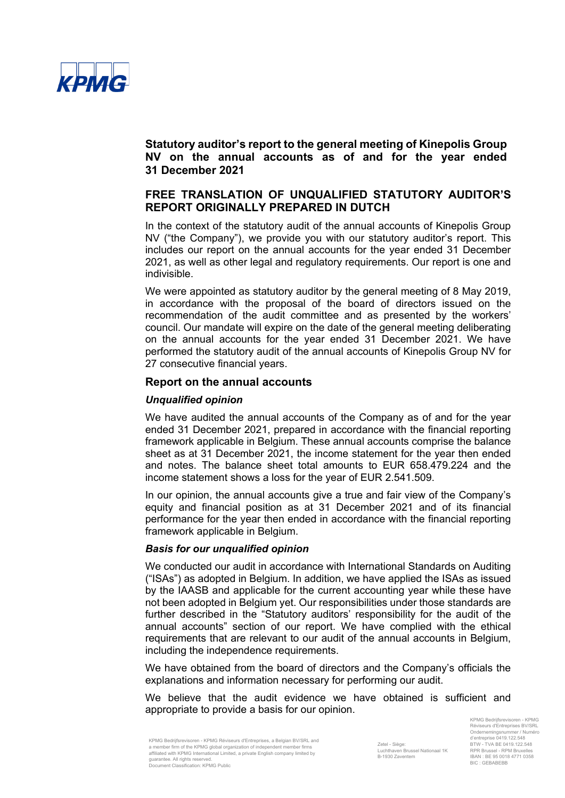

# **FREE TRANSLATION OF UNQUALIFIED STATUTORY AUDITOR'S REPORT ORIGINALLY PREPARED IN DUTCH**

In the context of the statutory audit of the annual accounts of Kinepolis Group NV ("the Company"), we provide you with our statutory auditor's report. This includes our report on the annual accounts for the year ended 31 December 2021, as well as other legal and regulatory requirements. Our report is one and indivisible.

We were appointed as statutory auditor by the general meeting of 8 May 2019, in accordance with the proposal of the board of directors issued on the recommendation of the audit committee and as presented by the workers' council. Our mandate will expire on the date of the general meeting deliberating on the annual accounts for the year ended 31 December 2021. We have performed the statutory audit of the annual accounts of Kinepolis Group NV for 27 consecutive financial years.

### **Report on the annual accounts**

### *Unqualified opinion*

We have audited the annual accounts of the Company as of and for the year ended 31 December 2021, prepared in accordance with the financial reporting framework applicable in Belgium. These annual accounts comprise the balance sheet as at 31 December 2021, the income statement for the year then ended and notes. The balance sheet total amounts to EUR 658.479.224 and the income statement shows a loss for the year of EUR 2.541.509.

In our opinion, the annual accounts give a true and fair view of the Company's equity and financial position as at 31 December 2021 and of its financial performance for the year then ended in accordance with the financial reporting framework applicable in Belgium.

#### *Basis for our unqualified opinion*

We conducted our audit in accordance with International Standards on Auditing ("ISAs") as adopted in Belgium. In addition, we have applied the ISAs as issued by the IAASB and applicable for the current accounting year while these have not been adopted in Belgium yet. Our responsibilities under those standards are further described in the "Statutory auditors' responsibility for the audit of the annual accounts" section of our report. We have complied with the ethical requirements that are relevant to our audit of the annual accounts in Belgium, including the independence requirements.

We have obtained from the board of directors and the Company's officials the explanations and information necessary for performing our audit.

We believe that the audit evidence we have obtained is sufficient and appropriate to provide a basis for our opinion.

KPMG Bedrijfsrevisoren - KPMG Réviseurs d'Entreprises, a Belgian BV/SRL and a member firm of the KPMG global organization of independent member firms affiliated with KPMG International Limited, a private English company limited by guarantee. All rights reserved. Document Classification: KPMG Public

KPMG Bedrijfsrevisoren - KPMG Réviseurs d'Entreprises BV/SRL Ondernemingsnummer / Numéro d'entreprise 0419.122.548 BTW - TVA BE 0419.122.548 RPR Brussel - RPM Bruxelles IBAN : BE 95 0018 4771 0358 BIC : GEBABEBB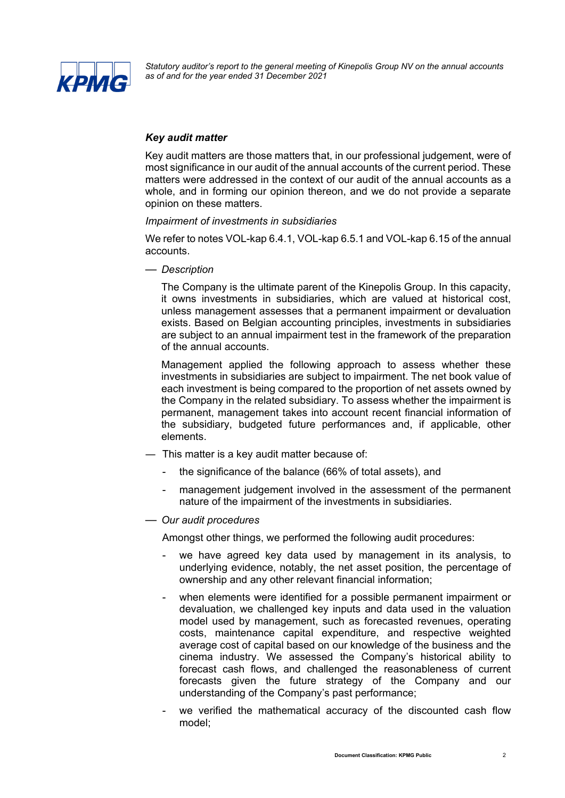

## *Key audit matter*

Key audit matters are those matters that, in our professional judgement, were of most significance in our audit of the annual accounts of the current period. These matters were addressed in the context of our audit of the annual accounts as a whole, and in forming our opinion thereon, and we do not provide a separate opinion on these matters.

### *Impairment of investments in subsidiaries*

We refer to notes VOL-kap 6.4.1, VOL-kap 6.5.1 and VOL-kap 6.15 of the annual accounts.

— *Description*

The Company is the ultimate parent of the Kinepolis Group. In this capacity, it owns investments in subsidiaries, which are valued at historical cost, unless management assesses that a permanent impairment or devaluation exists. Based on Belgian accounting principles, investments in subsidiaries are subject to an annual impairment test in the framework of the preparation of the annual accounts.

Management applied the following approach to assess whether these investments in subsidiaries are subject to impairment. The net book value of each investment is being compared to the proportion of net assets owned by the Company in the related subsidiary. To assess whether the impairment is permanent, management takes into account recent financial information of the subsidiary, budgeted future performances and, if applicable, other elements.

- ― This matter is a key audit matter because of:
	- the significance of the balance (66% of total assets), and
	- management judgement involved in the assessment of the permanent nature of the impairment of the investments in subsidiaries.
- *Our audit procedures*

Amongst other things, we performed the following audit procedures:

- we have agreed key data used by management in its analysis, to underlying evidence, notably, the net asset position, the percentage of ownership and any other relevant financial information;
- when elements were identified for a possible permanent impairment or devaluation, we challenged key inputs and data used in the valuation model used by management, such as forecasted revenues, operating costs, maintenance capital expenditure, and respective weighted average cost of capital based on our knowledge of the business and the cinema industry. We assessed the Company's historical ability to forecast cash flows, and challenged the reasonableness of current forecasts given the future strategy of the Company and our understanding of the Company's past performance;
- we verified the mathematical accuracy of the discounted cash flow model;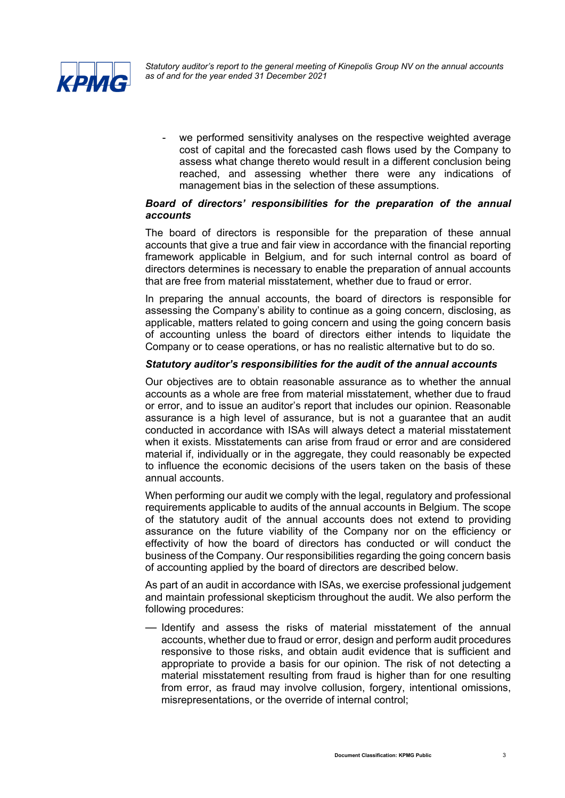

we performed sensitivity analyses on the respective weighted average cost of capital and the forecasted cash flows used by the Company to assess what change thereto would result in a different conclusion being reached, and assessing whether there were any indications of management bias in the selection of these assumptions.

## *Board of directors' responsibilities for the preparation of the annual accounts*

The board of directors is responsible for the preparation of these annual accounts that give a true and fair view in accordance with the financial reporting framework applicable in Belgium, and for such internal control as board of directors determines is necessary to enable the preparation of annual accounts that are free from material misstatement, whether due to fraud or error.

In preparing the annual accounts, the board of directors is responsible for assessing the Company's ability to continue as a going concern, disclosing, as applicable, matters related to going concern and using the going concern basis of accounting unless the board of directors either intends to liquidate the Company or to cease operations, or has no realistic alternative but to do so.

### *Statutory auditor's responsibilities for the audit of the annual accounts*

Our objectives are to obtain reasonable assurance as to whether the annual accounts as a whole are free from material misstatement, whether due to fraud or error, and to issue an auditor's report that includes our opinion. Reasonable assurance is a high level of assurance, but is not a guarantee that an audit conducted in accordance with ISAs will always detect a material misstatement when it exists. Misstatements can arise from fraud or error and are considered material if, individually or in the aggregate, they could reasonably be expected to influence the economic decisions of the users taken on the basis of these annual accounts.

When performing our audit we comply with the legal, regulatory and professional requirements applicable to audits of the annual accounts in Belgium. The scope of the statutory audit of the annual accounts does not extend to providing assurance on the future viability of the Company nor on the efficiency or effectivity of how the board of directors has conducted or will conduct the business of the Company. Our responsibilities regarding the going concern basis of accounting applied by the board of directors are described below.

As part of an audit in accordance with ISAs, we exercise professional judgement and maintain professional skepticism throughout the audit. We also perform the following procedures:

— Identify and assess the risks of material misstatement of the annual accounts, whether due to fraud or error, design and perform audit procedures responsive to those risks, and obtain audit evidence that is sufficient and appropriate to provide a basis for our opinion. The risk of not detecting a material misstatement resulting from fraud is higher than for one resulting from error, as fraud may involve collusion, forgery, intentional omissions, misrepresentations, or the override of internal control;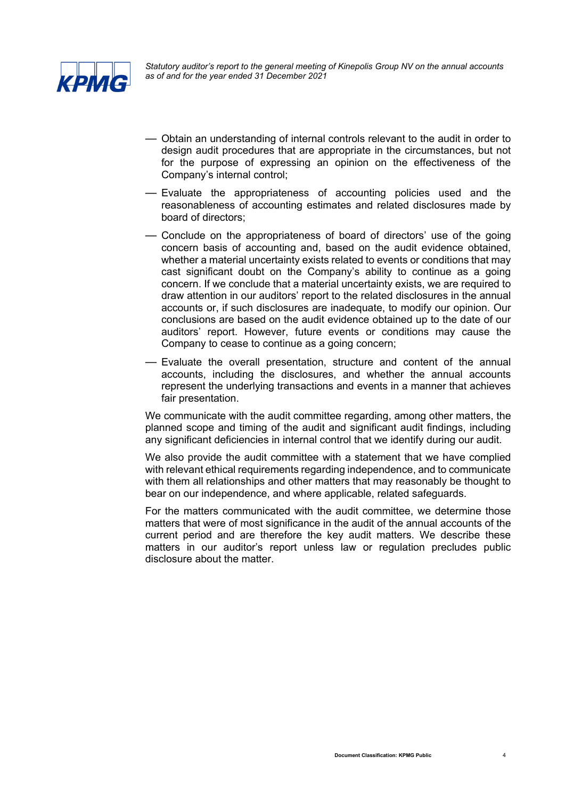

- Obtain an understanding of internal controls relevant to the audit in order to design audit procedures that are appropriate in the circumstances, but not for the purpose of expressing an opinion on the effectiveness of the Company's internal control;
- Evaluate the appropriateness of accounting policies used and the reasonableness of accounting estimates and related disclosures made by board of directors;
- Conclude on the appropriateness of board of directors' use of the going concern basis of accounting and, based on the audit evidence obtained, whether a material uncertainty exists related to events or conditions that may cast significant doubt on the Company's ability to continue as a going concern. If we conclude that a material uncertainty exists, we are required to draw attention in our auditors' report to the related disclosures in the annual accounts or, if such disclosures are inadequate, to modify our opinion. Our conclusions are based on the audit evidence obtained up to the date of our auditors' report. However, future events or conditions may cause the Company to cease to continue as a going concern;
- Evaluate the overall presentation, structure and content of the annual accounts, including the disclosures, and whether the annual accounts represent the underlying transactions and events in a manner that achieves fair presentation.

We communicate with the audit committee regarding, among other matters, the planned scope and timing of the audit and significant audit findings, including any significant deficiencies in internal control that we identify during our audit.

We also provide the audit committee with a statement that we have complied with relevant ethical requirements regarding independence, and to communicate with them all relationships and other matters that may reasonably be thought to bear on our independence, and where applicable, related safeguards.

For the matters communicated with the audit committee, we determine those matters that were of most significance in the audit of the annual accounts of the current period and are therefore the key audit matters. We describe these matters in our auditor's report unless law or regulation precludes public disclosure about the matter.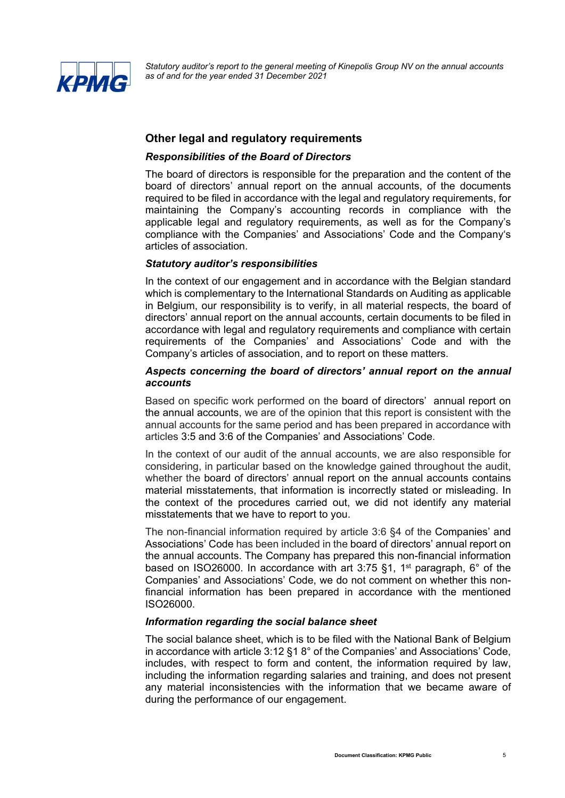

# **Other legal and regulatory requirements**

### *Responsibilities of the Board of Directors*

The board of directors is responsible for the preparation and the content of the board of directors' annual report on the annual accounts, of the documents required to be filed in accordance with the legal and regulatory requirements, for maintaining the Company's accounting records in compliance with the applicable legal and regulatory requirements, as well as for the Company's compliance with the Companies' and Associations' Code and the Company's articles of association.

### *Statutory auditor's responsibilities*

In the context of our engagement and in accordance with the Belgian standard which is complementary to the International Standards on Auditing as applicable in Belgium, our responsibility is to verify, in all material respects, the board of directors' annual report on the annual accounts, certain documents to be filed in accordance with legal and regulatory requirements and compliance with certain requirements of the Companies' and Associations' Code and with the Company's articles of association, and to report on these matters.

### *Aspects concerning the board of directors' annual report on the annual accounts*

Based on specific work performed on the board of directors' annual report on the annual accounts, we are of the opinion that this report is consistent with the annual accounts for the same period and has been prepared in accordance with articles 3:5 and 3:6 of the Companies' and Associations' Code.

In the context of our audit of the annual accounts, we are also responsible for considering, in particular based on the knowledge gained throughout the audit, whether the board of directors' annual report on the annual accounts contains material misstatements, that information is incorrectly stated or misleading. In the context of the procedures carried out, we did not identify any material misstatements that we have to report to you.

The non-financial information required by article 3:6 §4 of the Companies' and Associations' Code has been included in the board of directors' annual report on the annual accounts. The Company has prepared this non-financial information based on ISO26000. In accordance with art 3:75  $\S$ 1, 1<sup>st</sup> paragraph, 6° of the Companies' and Associations' Code, we do not comment on whether this nonfinancial information has been prepared in accordance with the mentioned ISO26000.

#### *Information regarding the social balance sheet*

The social balance sheet, which is to be filed with the National Bank of Belgium in accordance with article 3:12 §1 8° of the Companies' and Associations' Code, includes, with respect to form and content, the information required by law, including the information regarding salaries and training, and does not present any material inconsistencies with the information that we became aware of during the performance of our engagement.